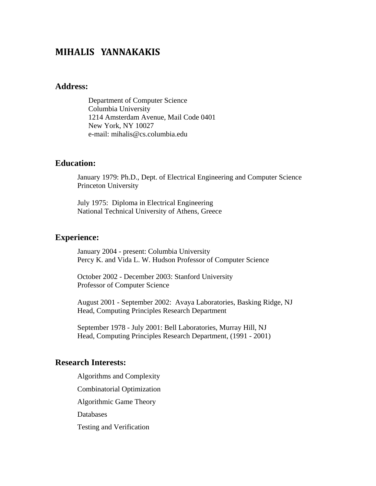# **MIHALIS YANNAKAKIS**

### **Address:**

Department of Computer Science Columbia University 1214 Amsterdam Avenue, Mail Code 0401 New York, NY 10027 e-mail: mihalis@cs.columbia.edu

### **Education:**

January 1979: Ph.D., Dept. of Electrical Engineering and Computer Science Princeton University

July 1975: Diploma in Electrical Engineering National Technical University of Athens, Greece

### **Experience:**

January 2004 - present: Columbia University Percy K. and Vida L. W. Hudson Professor of Computer Science

October 2002 - December 2003: Stanford University Professor of Computer Science

August 2001 - September 2002: Avaya Laboratories, Basking Ridge, NJ Head, Computing Principles Research Department

September 1978 - July 2001: Bell Laboratories, Murray Hill, NJ Head, Computing Principles Research Department, (1991 - 2001)

#### **Research Interests:**

Algorithms and Complexity Combinatorial Optimization Algorithmic Game Theory Databases Testing and Verification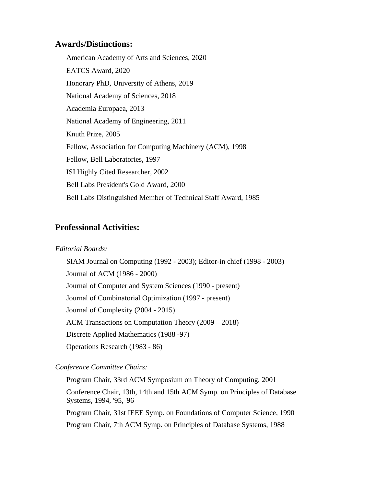### **Awards/Distinctions:**

American Academy of Arts and Sciences, 2020 EATCS Award, 2020 Honorary PhD, University of Athens, 2019 National Academy of Sciences, 2018 Academia Europaea, 2013 National Academy of Engineering, 2011 Knuth Prize, 2005 Fellow, Association for Computing Machinery (ACM), 1998 Fellow, Bell Laboratories, 1997 ISI Highly Cited Researcher, 2002 Bell Labs President's Gold Award, 2000 Bell Labs Distinguished Member of Technical Staff Award, 1985

# **Professional Activities:**

#### *Editorial Boards:*

SIAM Journal on Computing (1992 - 2003); Editor-in chief (1998 - 2003) Journal of ACM (1986 - 2000) Journal of Computer and System Sciences (1990 - present) Journal of Combinatorial Optimization (1997 - present) Journal of Complexity (2004 - 2015) ACM Transactions on Computation Theory (2009 – 2018) Discrete Applied Mathematics (1988 -97) Operations Research (1983 - 86)

#### *Conference Committee Chairs:*

Program Chair, 33rd ACM Symposium on Theory of Computing, 2001 Conference Chair, 13th, 14th and 15th ACM Symp. on Principles of Database Systems, 1994, '95, '96 Program Chair, 31st IEEE Symp. on Foundations of Computer Science, 1990 Program Chair, 7th ACM Symp. on Principles of Database Systems, 1988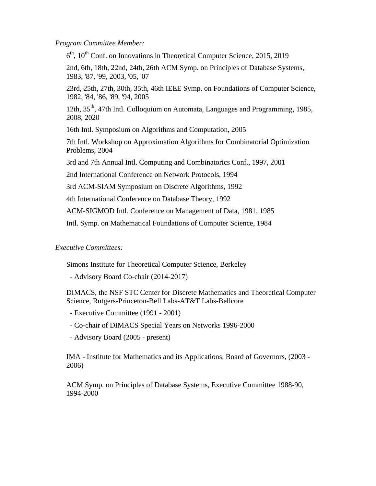*Program Committee Member:* 

 $6<sup>th</sup>$ , 10<sup>th</sup> Conf. on Innovations in Theoretical Computer Science, 2015, 2019

2nd, 6th, 18th, 22nd, 24th, 26th ACM Symp. on Principles of Database Systems, 1983, '87, '99, 2003, '05, '07

23rd, 25th, 27th, 30th, 35th, 46th IEEE Symp. on Foundations of Computer Science, 1982, '84, '86, '89, '94, 2005

12th, 35th, 47th Intl. Colloquium on Automata, Languages and Programming, 1985, 2008, 2020

16th Intl. Symposium on Algorithms and Computation, 2005

7th Intl. Workshop on Approximation Algorithms for Combinatorial Optimization Problems, 2004

3rd and 7th Annual Intl. Computing and Combinatorics Conf., 1997, 2001

2nd International Conference on Network Protocols, 1994

3rd ACM-SIAM Symposium on Discrete Algorithms, 1992

4th International Conference on Database Theory, 1992

ACM-SIGMOD Intl. Conference on Management of Data, 1981, 1985

Intl. Symp. on Mathematical Foundations of Computer Science, 1984

#### *Executive Committees:*

Simons Institute for Theoretical Computer Science, Berkeley

- Advisory Board Co-chair (2014-2017)

DIMACS, the NSF STC Center for Discrete Mathematics and Theoretical Computer Science, Rutgers-Princeton-Bell Labs-AT&T Labs-Bellcore

- Executive Committee (1991 2001)
- Co-chair of DIMACS Special Years on Networks 1996-2000
- Advisory Board (2005 present)

IMA - Institute for Mathematics and its Applications, Board of Governors, (2003 - 2006)

ACM Symp. on Principles of Database Systems, Executive Committee 1988-90, 1994-2000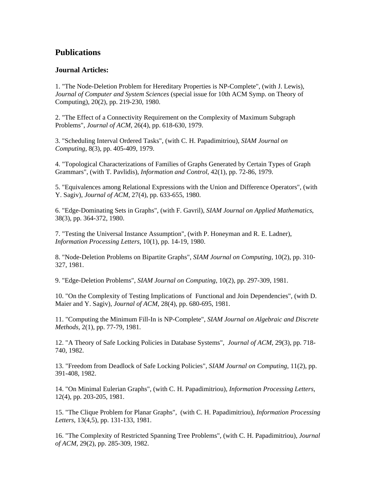### **Publications**

#### **Journal Articles:**

1. "The Node-Deletion Problem for Hereditary Properties is NP-Complete", (with J. Lewis), *Journal of Computer and System Sciences* (special issue for 10th ACM Symp. on Theory of Computing), 20(2), pp. 219-230, 1980.

2. "The Effect of a Connectivity Requirement on the Complexity of Maximum Subgraph Problems", *Journal of ACM*, 26(4), pp. 618-630, 1979.

3. "Scheduling Interval Ordered Tasks", (with C. H. Papadimitriou), *SIAM Journal on Computing*, 8(3), pp. 405-409, 1979.

4. "Topological Characterizations of Families of Graphs Generated by Certain Types of Graph Grammars", (with T. Pavlidis), *Information and Control*, 42(1), pp. 72-86, 1979.

5. "Equivalences among Relational Expressions with the Union and Difference Operators", (with Y. Sagiv), *Journal of ACM*, 27(4), pp. 633-655, 1980.

6. "Edge-Dominating Sets in Graphs", (with F. Gavril), *SIAM Journal on Applied Mathematics*, 38(3), pp. 364-372, 1980.

7. "Testing the Universal Instance Assumption", (with P. Honeyman and R. E. Ladner), *Information Processing Letters*, 10(1), pp. 14-19, 1980.

8. "Node-Deletion Problems on Bipartite Graphs", *SIAM Journal on Computing*, 10(2), pp. 310- 327, 1981.

9. "Edge-Deletion Problems", *SIAM Journal on Computing*, 10(2), pp. 297-309, 1981.

10. "On the Complexity of Testing Implications of Functional and Join Dependencies", (with D. Maier and Y. Sagiv), *Journal of ACM*, 28(4), pp. 680-695, 1981.

11. "Computing the Minimum Fill-In is NP-Complete", *SIAM Journal on Algebraic and Discrete Methods*, 2(1), pp. 77-79, 1981.

12. "A Theory of Safe Locking Policies in Database Systems", *Journal of ACM*, 29(3), pp. 718- 740, 1982.

13. "Freedom from Deadlock of Safe Locking Policies", *SIAM Journal on Computing*, 11(2), pp. 391-408, 1982.

14. "On Minimal Eulerian Graphs", (with C. H. Papadimitriou), *Information Processing Letters*, 12(4), pp. 203-205, 1981.

15. "The Clique Problem for Planar Graphs", (with C. H. Papadimitriou), *Information Processing Letters*, 13(4,5), pp. 131-133, 1981.

16. "The Complexity of Restricted Spanning Tree Problems", (with C. H. Papadimitriou), *Journal of ACM*, 29(2), pp. 285-309, 1982.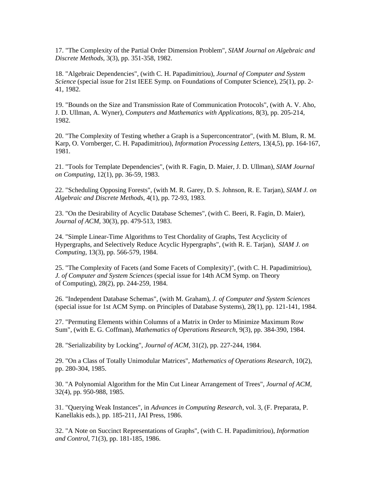17. "The Complexity of the Partial Order Dimension Problem", *SIAM Journal on Algebraic and Discrete Methods*, 3(3), pp. 351-358, 1982.

18. "Algebraic Dependencies", (with C. H. Papadimitriou), *Journal of Computer and System Science* (special issue for 21st IEEE Symp. on Foundations of Computer Science), 25(1), pp. 2- 41, 1982.

19. "Bounds on the Size and Transmission Rate of Communication Protocols", (with A. V. Aho, J. D. Ullman, A. Wyner), *Computers and Mathematics with Applications*, 8(3), pp. 205-214, 1982.

20. "The Complexity of Testing whether a Graph is a Superconcentrator", (with M. Blum, R. M. Karp, O. Vornberger, C. H. Papadimitriou), *Information Processing Letters*, 13(4,5), pp. 164-167, 1981.

21. "Tools for Template Dependencies", (with R. Fagin, D. Maier, J. D. Ullman), *SIAM Journal on Computing*, 12(1), pp. 36-59, 1983.

22. "Scheduling Opposing Forests", (with M. R. Garey, D. S. Johnson, R. E. Tarjan), *SIAM J. on Algebraic and Discrete Methods*, 4(1), pp. 72-93, 1983.

23. "On the Desirability of Acyclic Database Schemes", (with C. Beeri, R. Fagin, D. Maier), *Journal of ACM*, 30(3), pp. 479-513, 1983.

24. "Simple Linear-Time Algorithms to Test Chordality of Graphs, Test Acyclicity of Hypergraphs, and Selectively Reduce Acyclic Hypergraphs", (with R. E. Tarjan), *SIAM J. on Computing*, 13(3), pp. 566-579, 1984.

25. "The Complexity of Facets (and Some Facets of Complexity)", (with C. H. Papadimitriou), *J. of Computer and System Sciences* (special issue for 14th ACM Symp. on Theory of Computing), 28(2), pp. 244-259, 1984.

26. "Independent Database Schemas", (with M. Graham), *J. of Computer and System Sciences* (special issue for 1st ACM Symp. on Principles of Database Systems), 28(1), pp. 121-141, 1984.

27. "Permuting Elements within Columns of a Matrix in Order to Minimize Maximum Row Sum", (with E. G. Coffman), *Mathematics of Operations Research*, 9(3), pp. 384-390, 1984.

28. "Serializability by Locking", *Journal of ACM*, 31(2), pp. 227-244, 1984.

29. "On a Class of Totally Unimodular Matrices", *Mathematics of Operations Research*, 10(2), pp. 280-304, 1985.

30. "A Polynomial Algorithm for the Min Cut Linear Arrangement of Trees", *Journal of ACM*, 32(4), pp. 950-988, 1985.

31. "Querying Weak Instances", in *Advances in Computing Research*, vol. 3, (F. Preparata, P. Kanellakis eds.), pp. 185-211, JAI Press, 1986.

32. "A Note on Succinct Representations of Graphs", (with C. H. Papadimitriou), *Information and Control*, 71(3), pp. 181-185, 1986.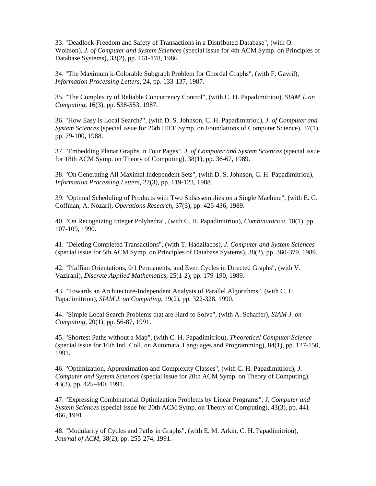33. "Deadlock-Freedom and Safety of Transactions in a Distributed Database", (with O. Wolfson), *J. of Computer and System Sciences* (special issue for 4th ACM Symp. on Principles of Database Systems), 33(2), pp. 161-178, 1986.

34. "The Maximum k-Colorable Subgraph Problem for Chordal Graphs", (with F. Gavril), *Information Processing Letters*, 24, pp. 133-137, 1987.

35. "The Complexity of Reliable Concurrency Control", (with C. H. Papadimitriou), *SIAM J. on Computing*, 16(3), pp. 538-553, 1987.

36. "How Easy is Local Search?", (with D. S. Johnson, C. H. Papadimitriou), *J. of Computer and System Sciences* (special issue for 26th IEEE Symp. on Foundations of Computer Science), 37(1), pp. 79-100, 1988.

37. "Embedding Planar Graphs in Four Pages", *J. of Computer and System Sciences* (special issue for 18th ACM Symp. on Theory of Computing), 38(1), pp. 36-67, 1989.

38. "On Generating All Maximal Independent Sets", (with D. S. Johnson, C. H. Papadimitriou), *Information Processing Letters*, 27(3), pp. 119-123, 1988.

39. "Optimal Scheduling of Products with Two Subassemblies on a Single Machine", (with E. G. Coffman, A. Nozari), *Operations Research*, 37(3), pp. 426-436, 1989.

40. "On Recognizing Integer Polyhedra", (with C. H. Papadimitriou), *Combinatorica*, 10(1), pp. 107-109, 1990.

41. "Deleting Completed Transactions", (with T. Hadzilacos), *J. Computer and System Sciences* (special issue for 5th ACM Symp. on Principles of Database Systems), 38(2), pp. 360-379, 1989.

42. "Pfaffian Orientations, 0/1 Permanents, and Even Cycles in Directed Graphs", (with V. Vazirani), *Discrete Applied Mathematics*, 25(1-2), pp. 179-190, 1989.

43. "Towards an Architecture-Independent Analysis of Parallel Algorithms", (with C. H. Papadimitriou), *SIAM J. on Computing*, 19(2), pp. 322-328, 1990.

44. "Simple Local Search Problems that are Hard to Solve", (with A. Schaffer), *SIAM J. on Computing*, 20(1), pp. 56-87, 1991.

45. "Shortest Paths without a Map", (with C. H. Papadimitriou), *Theoretical Computer Science* (special issue for 16th Intl. Coll. on Automata, Languages and Programming), 84(1), pp. 127-150, 1991.

46. "Optimization, Approximation and Complexity Classes", (with C. H. Papadimitriou), *J. Computer and System Sciences* (special issue for 20th ACM Symp. on Theory of Computing), 43(3), pp. 425-440, 1991.

47. "Expressing Combinatorial Optimization Problems by Linear Programs", *J. Computer and System Sciences* (special issue for 20th ACM Symp. on Theory of Computing), 43(3), pp. 441- 466, 1991.

48. "Modularity of Cycles and Paths in Graphs", (with E. M. Arkin, C. H. Papadimitriou), *Journal of ACM*, 38(2), pp. 255-274, 1991.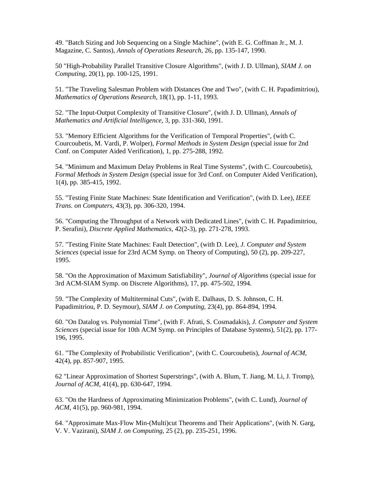49. "Batch Sizing and Job Sequencing on a Single Machine", (with E. G. Coffman Jr., M. J. Magazine, C. Santos), *Annals of Operations Research*, 26, pp. 135-147, 1990.

50 "High-Probability Parallel Transitive Closure Algorithms", (with J. D. Ullman), *SIAM J. on Computing*, 20(1), pp. 100-125, 1991.

51. "The Traveling Salesman Problem with Distances One and Two", (with C. H. Papadimitriou), *Mathematics of Operations Research*, 18(1), pp. 1-11, 1993.

52. "The Input-Output Complexity of Transitive Closure", (with J. D. Ullman), *Annals of Mathematics and Artificial Intelligence*, 3, pp. 331-360, 1991.

53. "Memory Efficient Algorithms for the Verification of Temporal Properties", (with C. Courcoubetis, M. Vardi, P. Wolper), *Formal Methods in System Design* (special issue for 2nd Conf. on Computer Aided Verification), 1, pp. 275-288, 1992.

54. "Minimum and Maximum Delay Problems in Real Time Systems", (with C. Courcoubetis), *Formal Methods in System Design* (special issue for 3rd Conf. on Computer Aided Verification), 1(4), pp. 385-415, 1992.

55. "Testing Finite State Machines: State Identification and Verification", (with D. Lee), *IEEE Trans. on Computers*, 43(3), pp. 306-320, 1994.

56. "Computing the Throughput of a Network with Dedicated Lines", (with C. H. Papadimitriou, P. Serafini), *Discrete Applied Mathematics*, 42(2-3), pp. 271-278, 1993.

57. "Testing Finite State Machines: Fault Detection", (with D. Lee), *J. Computer and System Sciences* (special issue for 23rd ACM Symp. on Theory of Computing), 50 (2), pp. 209-227, 1995.

58. "On the Approximation of Maximum Satisfiability", *Journal of Algorithms* (special issue for 3rd ACM-SIAM Symp. on Discrete Algorithms), 17, pp. 475-502, 1994.

59. "The Complexity of Multiterminal Cuts", (with E. Dalhaus, D. S. Johnson, C. H. Papadimitriou, P. D. Seymour), *SIAM J. on Computing*, 23(4), pp. 864-894, 1994.

60. "On Datalog vs. Polynomial Time", (with F. Afrati, S. Cosmadakis), *J. Computer and System Sciences* (special issue for 10th ACM Symp. on Principles of Database Systems), 51(2), pp. 177- 196, 1995.

61. "The Complexity of Probabilistic Verification", (with C. Courcoubetis), *Journal of ACM*, 42(4), pp. 857-907, 1995.

62 "Linear Approximation of Shortest Superstrings", (with A. Blum, T. Jiang, M. Li, J. Tromp), *Journal of ACM*, 41(4), pp. 630-647, 1994.

63. "On the Hardness of Approximating Minimization Problems", (with C. Lund), *Journal of ACM*, 41(5), pp. 960-981, 1994.

64. "Approximate Max-Flow Min-(Multi)cut Theorems and Their Applications", (with N. Garg, V. V. Vazirani), *SIAM J. on Computing*, 25 (2), pp. 235-251, 1996.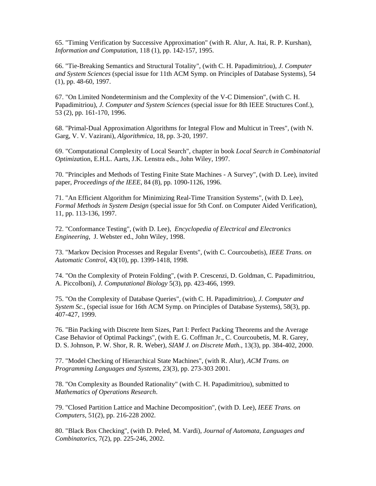65. "Timing Verification by Successive Approximation" (with R. Alur, A. Itai, R. P. Kurshan), *Information and Computation*, 118 (1), pp. 142-157, 1995.

66. "Tie-Breaking Semantics and Structural Totality", (with C. H. Papadimitriou), *J. Computer and System Sciences* (special issue for 11th ACM Symp. on Principles of Database Systems), 54 (1), pp. 48-60, 1997.

67. "On Limited Nondeterminism and the Complexity of the V-C Dimension", (with C. H. Papadimitriou), *J. Computer and System Sciences* (special issue for 8th IEEE Structures Conf.), 53 (2), pp. 161-170, 1996.

68. "Primal-Dual Approximation Algorithms for Integral Flow and Multicut in Trees", (with N. Garg, V. V. Vazirani), *Algorithmica*, 18, pp. 3-20, 1997.

69. "Computational Complexity of Local Search", chapter in book *Local Search in Combinatorial Optimiza*tion, E.H.L. Aarts, J.K. Lenstra eds., John Wiley, 1997.

70. "Principles and Methods of Testing Finite State Machines - A Survey", (with D. Lee), invited paper, *Proceedings of the IEEE*, 84 (8), pp. 1090-1126, 1996.

71. "An Efficient Algorithm for Minimizing Real-Time Transition Systems", (with D. Lee), *Formal Methods in System Design* (special issue for 5th Conf. on Computer Aided Verification), 11, pp. 113-136, 1997.

72. "Conformance Testing", (with D. Lee), *Encyclopedia of Electrical and Electronics Engineering*, J. Webster ed., John Wiley, 1998.

73. "Markov Decision Processes and Regular Events", (with C. Courcoubetis), *IEEE Trans. on Automatic Control*, 43(10), pp. 1399-1418, 1998.

74. "On the Complexity of Protein Folding", (with P. Crescenzi, D. Goldman, C. Papadimitriou, A. Piccolboni), *J. Computational Biology* 5(3), pp. 423-466, 1999.

75. "On the Complexity of Database Queries", (with C. H. Papadimitriou), *J. Computer and System Sc*., (special issue for 16th ACM Symp. on Principles of Database Systems), 58(3), pp. 407-427, 1999.

76. "Bin Packing with Discrete Item Sizes, Part I: Perfect Packing Theorems and the Average Case Behavior of Optimal Packings", (with E. G. Coffman Jr., C. Courcoubetis, M. R. Garey, D. S. Johnson, P. W. Shor, R. R. Weber), *SIAM J. on Discrete Math.*, 13(3), pp. 384-402, 2000.

77. "Model Checking of Hierarchical State Machines", (with R. Alur), *ACM Trans. on Programming Languages and Systems*, 23(3), pp. 273-303 2001.

78. "On Complexity as Bounded Rationality" (with C. H. Papadimitriou), submitted to *Mathematics of Operations Research*.

79. "Closed Partition Lattice and Machine Decomposition", (with D. Lee), *IEEE Trans. on Computers*, 51(2), pp. 216-228 2002.

80. "Black Box Checking", (with D. Peled, M. Vardi), *Journal of Automata, Languages and Combinatorics*, 7(2), pp. 225-246, 2002.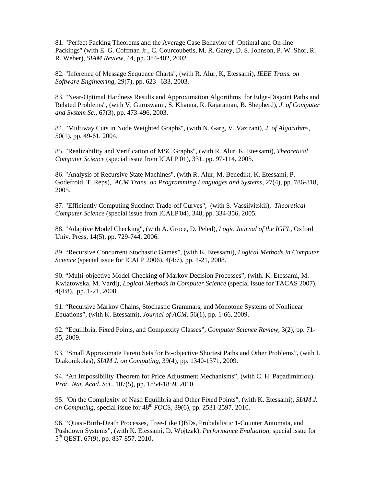81. "Perfect Packing Theorems and the Average Case Behavior of Optimal and On-line Packings" (with E. G. Coffman Jr., C. Courcoubetis, M. R. Garey, D. S. Johnson, P. W. Shor, R. R. Weber), *SIAM Review*, 44, pp. 384-402, 2002.

82. "Inference of Message Sequence Charts", (with R. Alur, K, Etessami), *IEEE Trans. on Software Engineering*, 29(7), pp. 623--633, 2003.

83. "Near-Optimal Hardness Results and Approximation Algorithms for Edge-Disjoint Paths and Related Problems", (with V. Guruswami, S. Khanna, R. Rajaraman, B. Shepherd), *J. of Computer and System Sc*., 67(3), pp. 473-496, 2003.

84. "Multiway Cuts in Node Weighted Graphs", (with N. Garg, V. Vazirani), *J. of Algorithms*, 50(1), pp. 49-61, 2004.

85. "Realizability and Verification of MSC Graphs", (with R. Alur, K. Etessami), *Theoretical Computer Science* (special issue from ICALP'01), 331, pp. 97-114, 2005.

86. "Analysis of Recursive State Machines", (with R. Alur, M. Benedikt, K. Etessami, P. Godefroid, T. Reps), *ACM Trans. on Programming Languages and Systems*, 27(4), pp. 786-818, 2005.

87. "Efficiently Computing Succinct Trade-off Curves", (with S. Vassilvitskii), *Theoretical Computer Science* (special issue from ICALP'04), 348, pp. 334-356, 2005.

88. "Adaptive Model Checking", (with A. Groce, D. Peled), *Logic Journal of the IGPL*, Oxford Univ. Press, 14(5), pp. 729-744, 2006.

89. "Recursive Concurrent Stochastic Games", (with K. Etessami), *Logical Methods in Computer Science* (special issue for ICALP 2006), 4(4:7), pp. 1-21, 2008.

90. "Multi-objective Model Checking of Markov Decision Processes", (with. K. Etessami, M. Kwiatowska, M. Vardi), *Logical Methods in Computer Science* (special issue for TACAS 2007), 4(4:8), pp. 1-21, 2008.

91. "Recursive Markov Chains, Stochastic Grammars, and Monotone Systems of Nonlinear Equations", (with K. Etessami), *Journal of ACM,* 56(1), pp. 1-66, 2009.

92. "Equilibria, Fixed Points, and Complexity Classes", *Computer Science Review*, 3(2), pp. 71- 85, 2009.

93. "Small Approximate Pareto Sets for Bi-objective Shortest Paths and Other Problems", (with I. Diakonikolas), *SIAM J. on Computing,* 39(4), pp. 1340-1371, 2009.

94. "An Impossibility Theorem for Price Adjustment Mechanisms", (with C. H. Papadimitriou), *Proc. Nat. Acad. Sci.,* 107(5), pp. 1854-1859, 2010.

95. "On the Complexity of Nash Equilibria and Other Fixed Points", (with K. Etessami), *SIAM J. on Computing, special issue for 48<sup>th</sup> FOCS, 39(6), pp. 2531-2597, 2010.* 

96. "Quasi-Birth-Death Processes, Tree-Like QBDs, Probabilistic 1-Counter Automata, and Pushdown Systems", (with K. Etessami, D. Wojtzak), *Performance Evaluation,* special issue for 5th QEST, 67(9), pp. 837-857, 2010.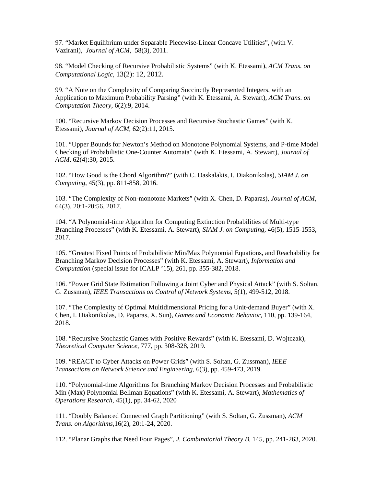97. "Market Equilibrium under Separable Piecewise-Linear Concave Utilities", (with V. Vazirani), *Journal of ACM*, 58(3), 2011.

98. "Model Checking of Recursive Probabilistic Systems" (with K. Etessami), *ACM Trans. on Computational Logic*, 13(2): 12, 2012.

99. "A Note on the Complexity of Comparing Succinctly Represented Integers, with an Application to Maximum Probability Parsing" (with K. Etessami, A. Stewart), *ACM Trans. on Computation Theory*, 6(2):9, 2014.

100. "Recursive Markov Decision Processes and Recursive Stochastic Games" (with K. Etessami), *Journal of ACM*, 62(2):11, 2015.

101. "Upper Bounds for Newton's Method on Monotone Polynomial Systems, and P-time Model Checking of Probabilistic One-Counter Automata" (with K. Etessami, A. Stewart), *Journal of ACM*, 62(4):30, 2015.

102. "How Good is the Chord Algorithm?" (with C. Daskalakis, I. Diakonikolas), *SIAM J. on Computing*, 45(3), pp. 811-858, 2016.

103. "The Complexity of Non-monotone Markets" (with X. Chen, D. Paparas), *Journal of ACM*, 64(3), 20:1-20:56, 2017.

104. "A Polynomial-time Algorithm for Computing Extinction Probabilities of Multi-type Branching Processes" (with K. Etessami, A. Stewart), *SIAM J. on Computing,* 46(5), 1515-1553, 2017.

105. "Greatest Fixed Points of Probabilistic Min/Max Polynomial Equations, and Reachability for Branching Markov Decision Processes" (with K. Etessami, A. Stewart), *Information and Computation* (special issue for ICALP '15), 261, pp. 355-382, 2018.

106. "Power Grid State Estimation Following a Joint Cyber and Physical Attack" (with S. Soltan, G. Zussman), *IEEE Transactions on Control of Network Systems*, 5(1), 499-512, 2018.

107. "The Complexity of Optimal Multidimensional Pricing for a Unit-demand Buyer" (with X. Chen, I. Diakonikolas, D. Paparas, X. Sun), *Games and Economic Behavior*, 110, pp. 139-164, 2018.

108. "Recursive Stochastic Games with Positive Rewards" (with K. Etessami, D. Wojtczak), *Theoretical Computer Science*, 777, pp. 308-328, 2019.

109. "REACT to Cyber Attacks on Power Grids" (with S. Soltan, G. Zussman), *IEEE Transactions on Network Science and Engineering,* 6(3), pp. 459-473, 2019.

110. "Polynomial-time Algorithms for Branching Markov Decision Processes and Probabilistic Min (Max) Polynomial Bellman Equations" (with K. Etessami, A. Stewart), *Mathematics of Operations Research*, 45(1), pp. 34-62, 2020

111. "Doubly Balanced Connected Graph Partitioning" (with S. Soltan, G. Zussman), *ACM Trans. on Algorithms,*16(2), 20:1-24, 2020.

112. "Planar Graphs that Need Four Pages", *J. Combinatorial Theory B,* 145, pp. 241-263, 2020.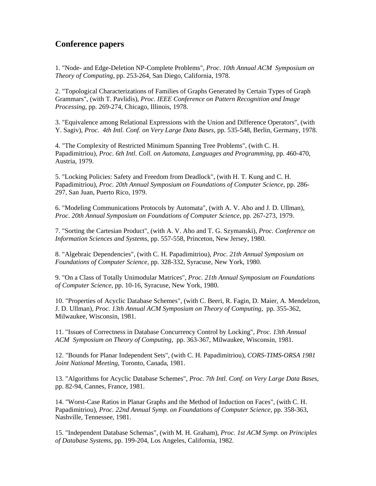# **Conference papers**

1. "Node- and Edge-Deletion NP-Complete Problems", *Proc. 10th Annual ACM Symposium on Theory of Computing*, pp. 253-264, San Diego, California, 1978.

2. "Topological Characterizations of Families of Graphs Generated by Certain Types of Graph Grammars", (with T. Pavlidis), *Proc. IEEE Conference on Pattern Recognition and Image Processing*, pp. 269-274, Chicago, Illinois, 1978.

3. "Equivalence among Relational Expressions with the Union and Difference Operators", (with Y. Sagiv), *Proc. 4th Intl. Conf. on Very Large Data Bases*, pp. 535-548, Berlin, Germany, 1978.

4. "The Complexity of Restricted Minimum Spanning Tree Problems", (with C. H. Papadimitriou), *Proc. 6th Intl. Coll. on Automata, Languages and Programming*, pp. 460-470, Austria, 1979.

5. "Locking Policies: Safety and Freedom from Deadlock", (with H. T. Kung and C. H. Papadimitriou), *Proc. 20th Annual Symposium on Foundations of Computer Science*, pp. 286- 297, San Juan, Puerto Rico, 1979.

6. "Modeling Communications Protocols by Automata", (with A. V. Aho and J. D. Ullman), *Proc. 20th Annual Symposium on Foundations of Computer Science*, pp. 267-273, 1979.

7. "Sorting the Cartesian Product", (with A. V. Aho and T. G. Szymanski), *Proc. Conference on Information Sciences and Systems*, pp. 557-558, Princeton, New Jersey, 1980.

8. "Algebraic Dependencies", (with C. H. Papadimitriou), *Proc. 21th Annual Symposium on Foundations of Computer Science*, pp. 328-332, Syracuse, New York, 1980.

9. "On a Class of Totally Unimodular Matrices", *Proc. 21th Annual Symposium on Foundations of Computer Science*, pp. 10-16, Syracuse, New York, 1980.

10. "Properties of Acyclic Database Schemes", (with C. Beeri, R. Fagin, D. Maier, A. Mendelzon, J. D. Ullman), *Proc. 13th Annual ACM Symposium on Theory of Computing*, pp. 355-362, Milwaukee, Wisconsin, 1981.

11. "Issues of Correctness in Database Concurrency Control by Locking", *Proc. 13th Annual ACM Symposium on Theory of Computing*, pp. 363-367, Milwaukee, Wisconsin, 1981.

12. "Bounds for Planar Independent Sets", (with C. H. Papadimitriou), *CORS-TIMS-ORSA 1981 Joint National Meeting*, Toronto, Canada, 1981.

13. "Algorithms for Acyclic Database Schemes", *Proc. 7th Intl. Conf. on Very Large Data Base*s, pp. 82-94, Cannes, France, 1981.

14. "Worst-Case Ratios in Planar Graphs and the Method of Induction on Faces", (with C. H. Papadimitriou), *Proc. 22nd Annual Symp. on Foundations of Computer Science*, pp. 358-363, Nashville, Tennessee, 1981.

15. "Independent Database Schemas", (with M. H. Graham), *Proc. 1st ACM Symp. on Principles of Database Systems*, pp. 199-204, Los Angeles, California, 1982.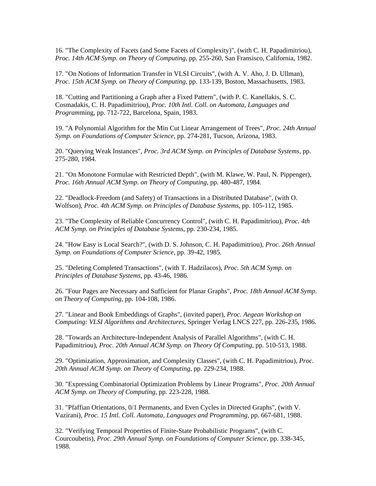16. "The Complexity of Facets (and Some Facets of Complexity)", (with C. H. Papadimitriou), *Proc. 14th ACM Symp. on Theory of Computing*, pp. 255-260, San Fransisco, California, 1982.

17. "On Notions of Information Transfer in VLSI Circuits", (with A. V. Aho, J. D. Ullman), *Proc. 15th ACM Symp. on Theory of Computing*, pp. 133-139, Boston, Massachusetts, 1983.

18. "Cutting and Partitioning a Graph after a Fixed Pattern", (with P. C. Kanellakis, S. C. Cosmadakis, C. H. Papadimitriou), *Proc. 10th Intl. Coll. on Automata, Languages and Program*ming, pp. 712-722, Barcelona, Spain, 1983.

19. "A Polynomial Algorithm for the Min Cut Linear Arrangement of Trees", *Proc. 24th Annual Symp. on Foundations of Computer Science*, pp. 274-281, Tucson, Arizona, 1983.

20. "Querying Weak Instances", *Proc. 3rd ACM Symp. on Principles of Database Systems*, pp. 275-280, 1984.

21. "On Monotone Formulae with Restricted Depth", (with M. Klawe, W. Paul, N. Pippenger), *Proc. 16th Annual ACM Symp. on Theory of Computing*, pp. 480-487, 1984.

22. "Deadlock-Freedom (and Safety) of Transactions in a Distributed Database", (with O. Wolfson), *Proc. 4th ACM Symp. on Principles of Database Systems*, pp. 105-112, 1985.

23. "The Complexity of Reliable Concurrency Control", (with C. H. Papadimitriou), *Proc. 4th ACM Symp. on Principles of Database Syste*ms, pp. 230-234, 1985.

24. "How Easy is Local Search?", (with D. S. Johnson, C. H. Papadimitriou), *Proc. 26th Annual Symp. on Foundations of Computer Science*, pp. 39-42, 1985.

25. "Deleting Completed Transactions", (with T. Hadzilacos), *Proc. 5th ACM Symp. on Principles of Database Systems*, pp. 43-46, 1986.

26. "Four Pages are Necessary and Sufficient for Planar Graphs", *Proc. 18th Annual ACM Symp. on Theory of Computing*, pp. 104-108, 1986.

27. "Linear and Book Embeddings of Graphs", (invited paper), *Proc. Aegean Workshop on Computing: VLSI Algorithms and Architectures*, Springer Verlag LNCS 227, pp. 226-235, 1986.

28. "Towards an Architecture-Independent Analysis of Parallel Algorithms", (with C. H. Papadimitriou), *Proc. 20th Annual ACM Symp. on Theory Of Computing*, pp. 510-513, 1988.

29. "Optimization, Approximation, and Complexity Classes", (with C. H. Papadimitriou), *Proc. 20th Annual ACM Symp. on Theory of Computing*, pp. 229-234, 1988.

30. "Expressing Combinatorial Optimization Problems by Linear Programs", *Proc. 20th Annual ACM Symp. on Theory of Computing*, pp. 223-228, 1988.

31. "Pfaffian Orientations, 0/1 Permanents, and Even Cycles in Directed Graphs", (with V. Vazirani), *Proc. 15 Intl. Coll. Automata, Languages and Programming*, pp. 667-681, 1988.

32. "Verifying Temporal Properties of Finite-State Probabilistic Programs", (with C. Courcoubetis), *Proc. 29th Annual Symp. on Foundations of Computer Science*, pp. 338-345, 1988.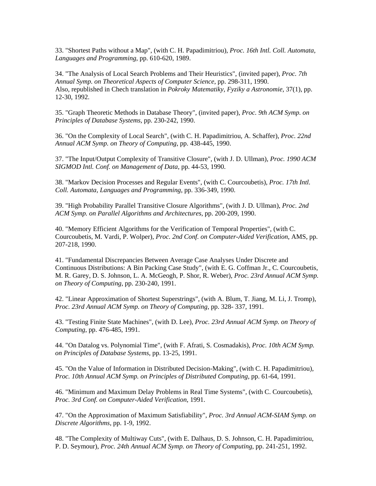33. "Shortest Paths without a Map", (with C. H. Papadimitriou), *Proc. 16th Intl. Coll. Automata, Languages and Programming*, pp. 610-620, 1989.

34. "The Analysis of Local Search Problems and Their Heuristics", (invited paper), *Proc. 7th Annual Symp. on Theoretical Aspects of Computer Science*, pp. 298-311, 1990. Also, republished in Chech translation in *Pokroky Matematiky, Fyziky a Astronomie*, 37(1), pp. 12-30, 1992.

35. "Graph Theoretic Methods in Database Theory", (invited paper), *Proc. 9th ACM Symp. on Principles of Database Systems*, pp. 230-242, 1990.

36. "On the Complexity of Local Search", (with C. H. Papadimitriou, A. Schaffer), *Proc. 22nd Annual ACM Symp. on Theory of Computing*, pp. 438-445, 1990.

37. "The Input/Output Complexity of Transitive Closure", (with J. D. Ullman), *Proc. 1990 ACM SIGMOD Intl. Conf. on Management of Data*, pp. 44-53, 1990.

38. "Markov Decision Processes and Regular Events", (with C. Courcoubetis), *Proc. 17th Intl. Coll. Automata, Languages and Programming*, pp. 336-349, 1990.

39. "High Probability Parallel Transitive Closure Algorithms", (with J. D. Ullman), *Proc. 2nd ACM Symp. on Parallel Algorithms and Architectures*, pp. 200-209, 1990.

40. "Memory Efficient Algorithms for the Verification of Temporal Properties", (with C. Courcoubetis, M. Vardi, P. Wolper), *Proc. 2nd Conf. on Computer-Aided Verification*, AMS, pp. 207-218, 1990.

41. "Fundamental Discrepancies Between Average Case Analyses Under Discrete and Continuous Distributions: A Bin Packing Case Study", (with E. G. Coffman Jr., C. Courcoubetis, M. R. Garey, D. S. Johnson, L. A. McGeogh, P. Shor, R. Weber), *Proc. 23rd Annual ACM Symp. on Theory of Computing*, pp. 230-240, 1991.

42. "Linear Approximation of Shortest Superstrings", (with A. Blum, T. Jiang, M. Li, J. Tromp), *Proc. 23rd Annual ACM Symp. on Theory of Computing*, pp. 328- 337, 1991.

43. "Testing Finite State Machines", (with D. Lee), *Proc. 23rd Annual ACM Symp. on Theory of Computing*, pp. 476-485, 1991.

44. "On Datalog vs. Polynomial Time", (with F. Afrati, S. Cosmadakis), *Proc. 10th ACM Symp. on Principles of Database Systems*, pp. 13-25, 1991.

45. "On the Value of Information in Distributed Decision-Making", (with C. H. Papadimitriou), *Proc. 10th Annual ACM Symp. on Principles of Distributed Computing*, pp. 61-64, 1991.

46. "Minimum and Maximum Delay Problems in Real Time Systems", (with C. Courcoubetis), *Proc. 3rd Conf. on Computer-Aided Verification*, 1991.

47. "On the Approximation of Maximum Satisfiability", *Proc. 3rd Annual ACM-SIAM Symp. on Discrete Algorithms*, pp. 1-9, 1992.

48. "The Complexity of Multiway Cuts", (with E. Dalhaus, D. S. Johnson, C. H. Papadimitriou, P. D. Seymour), *Proc. 24th Annual ACM Symp. on Theory of Computing*, pp. 241-251, 1992.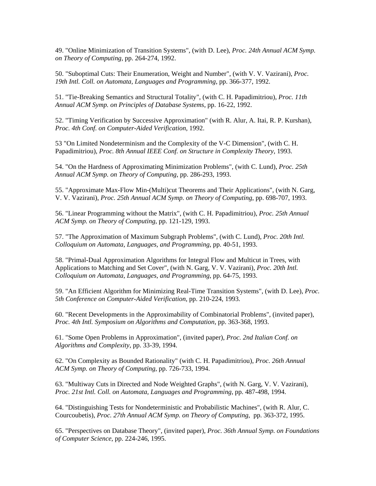49. "Online Minimization of Transition Systems", (with D. Lee), *Proc. 24th Annual ACM Symp. on Theory of Computing*, pp. 264-274, 1992.

50. "Suboptimal Cuts: Their Enumeration, Weight and Number", (with V. V. Vazirani), *Proc. 19th Intl. Coll. on Automata, Languages and Programming*, pp. 366-377, 1992.

51. "Tie-Breaking Semantics and Structural Totality", (with C. H. Papadimitriou), *Proc. 11th Annual ACM Symp. on Principles of Database Systems*, pp. 16-22, 1992.

52. "Timing Verification by Successive Approximation" (with R. Alur, A. Itai, R. P. Kurshan), *Proc. 4th Conf. on Computer-Aided Verification*, 1992.

53 "On Limited Nondeterminism and the Complexity of the V-C Dimension", (with C. H. Papadimitriou), *Proc. 8th Annual IEEE Conf. on Structure in Complexity Theory*, 1993.

54. "On the Hardness of Approximating Minimization Problems", (with C. Lund), *Proc. 25th Annual ACM Symp. on Theory of Computing*, pp. 286-293, 1993.

55. "Approximate Max-Flow Min-(Multi)cut Theorems and Their Applications", (with N. Garg, V. V. Vazirani), *Proc. 25th Annual ACM Symp. on Theory of Computing*, pp. 698-707, 1993.

56. "Linear Programming without the Matrix", (with C. H. Papadimitriou), *Proc. 25th Annual ACM Symp. on Theory of Computing*, pp. 121-129, 1993.

57. "The Approximation of Maximum Subgraph Problems", (with C. Lund), *Proc. 20th Intl. Colloquium on Automata, Languages, and Programming*, pp. 40-51, 1993.

58. "Primal-Dual Approximation Algorithms for Integral Flow and Multicut in Trees, with Applications to Matching and Set Cover", (with N. Garg, V. V. Vazirani), *Proc. 20th Intl. Colloquium on Automata, Languages, and Programming*, pp. 64-75, 1993.

59. "An Efficient Algorithm for Minimizing Real-Time Transition Systems", (with D. Lee), *Proc. 5th Conference on Computer-Aided Verification*, pp. 210-224, 1993.

60. "Recent Developments in the Approximability of Combinatorial Problems", (invited paper), *Proc. 4th Intl. Symposium on Algorithms and Computation*, pp. 363-368, 1993.

61. "Some Open Problems in Approximation", (invited paper), *Proc. 2nd Italian Conf. on Algorithms and Complexity*, pp. 33-39, 1994.

62. "On Complexity as Bounded Rationality" (with C. H. Papadimitriou), *Proc. 26th Annual ACM Symp. on Theory of Computing*, pp. 726-733, 1994.

63. "Multiway Cuts in Directed and Node Weighted Graphs", (with N. Garg, V. V. Vazirani), *Proc. 21st Intl. Coll. on Automata, Languages and Programming*, pp. 487-498, 1994.

64. "Distinguishing Tests for Nondeterministic and Probabilistic Machines", (with R. Alur, C. Courcoubetis), *Proc. 27th Annual ACM Symp. on Theory of Computing*, pp. 363-372, 1995.

65. "Perspectives on Database Theory", (invited paper), *Proc. 36th Annual Symp. on Foundations of Computer Science*, pp. 224-246, 1995.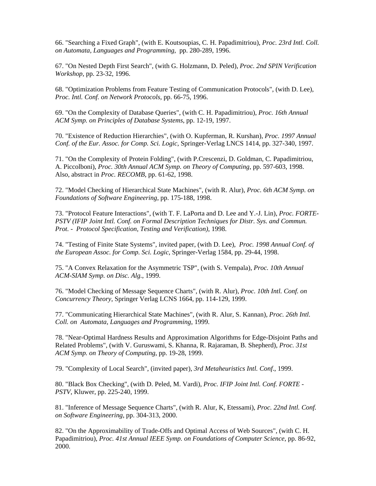66. "Searching a Fixed Graph", (with E. Koutsoupias, C. H. Papadimitriou), *Proc. 23rd Intl. Coll. on Automata, Languages and Programming*, pp. 280-289, 1996.

67. "On Nested Depth First Search", (with G. Holzmann, D. Peled), *Proc. 2nd SPIN Verification Workshop*, pp. 23-32, 1996.

68. "Optimization Problems from Feature Testing of Communication Protocols", (with D. Lee), *Proc. Intl. Conf. on Network Protocols*, pp. 66-75, 1996.

69. "On the Complexity of Database Queries", (with C. H. Papadimitriou), *Proc. 16th Annual ACM Symp. on Principles of Database Systems*, pp. 12-19, 1997.

70. "Existence of Reduction Hierarchies", (with O. Kupferman, R. Kurshan), *Proc. 1997 Annual Conf. of the Eur. Assoc. for Comp. Sci. Logic*, Springer-Verlag LNCS 1414, pp. 327-340, 1997.

71. "On the Complexity of Protein Folding", (with P.Crescenzi, D. Goldman, C. Papadimitriou, A. Piccolboni), *Proc. 30th Annual ACM Symp. on Theory of Computing*, pp. 597-603, 1998. Also, abstract in *Proc. RECOMB*, pp. 61-62, 1998.

72. "Model Checking of Hierarchical State Machines", (with R. Alur), *Proc. 6th ACM Symp. on Foundations of Software Engineering*, pp. 175-188, 1998.

73. "Protocol Feature Interactions", (with T. F. LaPorta and D. Lee and Y.-J. Lin), *Proc. FORTE-PSTV (IFIP Joint Intl. Conf. on Formal Description Techniques for Distr. Sys. and Commun. Prot. - Protocol Specification, Testing and Verification)*, 1998.

74. "Testing of Finite State Systems", invited paper, (with D. Lee), *Proc. 1998 Annual Conf. of the European Assoc. for Comp. Sci. Logic*, Springer-Verlag 1584, pp. 29-44, 1998.

75. "A Convex Relaxation for the Asymmetric TSP", (with S. Vempala), *Proc. 10th Annual ACM-SIAM Symp. on Disc. Alg.*, 1999.

76. "Model Checking of Message Sequence Charts", (with R. Alur), *Proc. 10th Intl. Conf. on Concurrency Theory*, Springer Verlag LCNS 1664, pp. 114-129, 1999.

77. "Communicating Hierarchical State Machines", (with R. Alur, S. Kannan), *Proc. 26th Intl. Coll. on Automata, Languages and Programming*, 1999.

78. "Near-Optimal Hardness Results and Approximation Algorithms for Edge-Disjoint Paths and Related Problems", (with V. Guruswami, S. Khanna, R. Rajaraman, B. Shepherd), *Proc. 31st ACM Symp. on Theory of Computing*, pp. 19-28, 1999.

79. "Complexity of Local Search", (invited paper), *3rd Metaheuristics Intl. Conf*., 1999.

80. "Black Box Checking", (with D. Peled, M. Vardi), *Proc. IFIP Joint Intl. Conf. FORTE - PSTV*, Kluwer, pp. 225-240, 1999.

81. "Inference of Message Sequence Charts", (with R. Alur, K, Etessami), *Proc. 22nd Intl. Conf. on Software Engineering*, pp. 304-313, 2000.

82. "On the Approximability of Trade-Offs and Optimal Access of Web Sources", (with C. H. Papadimitriou), *Proc. 41st Annual IEEE Symp. on Foundations of Computer Science*, pp. 86-92, 2000.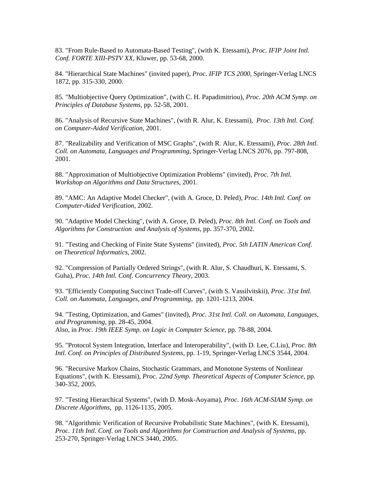83. "From Rule-Based to Automata-Based Testing", (with K. Etessami), *Proc. IFIP Joint Intl. Conf. FORTE XIII-PSTV XX*, Kluwer, pp. 53-68, 2000.

84. "Hierarchical State Machines" (invited paper), *Proc. IFIP TCS 2000*, Springer-Verlag LNCS 1872, pp. 315-330, 2000.

85. "Multiobjective Query Optimization", (with C. H. Papadimitriou), *Proc. 20th ACM Symp. on Principles of Database Systems*, pp. 52-58, 2001.

86. "Analysis of Recursive State Machines", (with R. Alur, K. Etessami), *Proc. 13th Intl. Conf. on Computer-Aided Verification*, 2001.

87. "Realizability and Verification of MSC Graphs", (with R. Alur, K. Etessami), *Proc. 28th Intl. Coll. on Automata, Languages and Programming*, Springer-Verlag LNCS 2076, pp. 797-808, 2001.

88. "Approximation of Multiobjective Optimization Problems" (invited), *Proc. 7th Intl. Workshop on Algorithms and Data Structures*, 2001.

89. "AMC: An Adaptive Model Checker", (with A. Groce, D. Peled), *Proc. 14th Intl. Conf. on Computer-Aided Verification*, 2002.

90. "Adaptive Model Checking", (with A. Groce, D. Peled), *Proc. 8th Intl. Conf. on Tools and Algorithms for Construction and Analysis of Systems*, pp. 357-370, 2002.

91. "Testing and Checking of Finite State Systems" (invited), *Proc. 5th LATIN American Conf. on Theoretical Informatics*, 2002.

92. "Compression of Partially Ordered Strings", (with R. Alur, S. Chaudhuri, K. Etessami, S. Guha), *Proc. 14th Intl. Conf. Concurrency Theory*, 2003.

93. "Efficiently Computing Succinct Trade-off Curves", (with S. Vassilvitskii), *Proc. 31st Intl. Coll. on Automata, Languages, and Programming*, pp. 1201-1213, 2004.

94. "Testing, Optimization, and Games" (invited), *Proc. 31st Intl. Coll. on Automata, Languages, and Programming*, pp. 28-45, 2004. Also, in *Proc. 19th IEEE Symp. on Logic in Computer Science*, pp. 78-88, 2004.

95. "Protocol System Integration, Interface and Interoperability", (with D. Lee, C.Liu), *Proc. 8th Intl. Conf. on Principles of Distributed Systems*, pp. 1-19, Springer-Verlag LNCS 3544, 2004.

96. "Recursive Markov Chains, Stochastic Grammars, and Monotone Systems of Nonlinear Equations", (with K. Etessami), *Proc. 22nd Symp. Theoretical Aspects of Computer Science*, pp. 340-352, 2005.

97. "Testing Hierarchical Systems", (with D. Mosk-Aoyama), *Proc. 16th ACM-SIAM Symp. on Discrete Algorithms*, pp. 1126-1135, 2005.

98. "Algorithmic Verification of Recursive Probabilistic State Machines", (with K. Etessami), *Proc. 11th Intl. Conf. on Tools and Algorithms for Construction and Analysis of Systems*, pp. 253-270, Springer-Verlag LNCS 3440, 2005.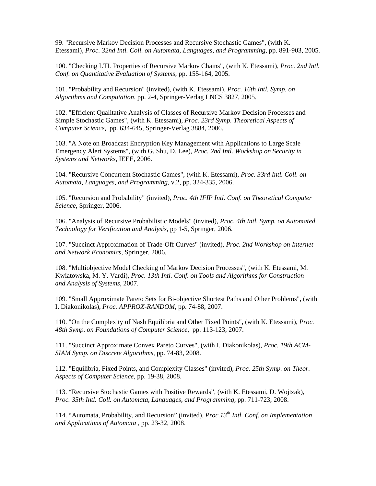99. "Recursive Markov Decision Processes and Recursive Stochastic Games", (with K. Etessami), *Proc. 32nd Intl. Coll. on Automata, Languages, and Programming*, pp. 891-903, 2005.

100. "Checking LTL Properties of Recursive Markov Chains", (with K. Etessami), *Proc. 2nd Intl. Conf. on Quantitative Evaluation of Systems*, pp. 155-164, 2005.

101. "Probability and Recursion" (invited), (with K. Etessami), *Proc. 16th Intl. Symp. on Algorithms and Computation*, pp. 2-4, Springer-Verlag LNCS 3827, 2005.

102. "Efficient Qualitative Analysis of Classes of Recursive Markov Decision Processes and Simple Stochastic Games", (with K. Etessami), *Proc. 23rd Symp. Theoretical Aspects of Computer Science*, pp. 634-645, Springer-Verlag 3884, 2006.

103. "A Note on Broadcast Encryption Key Management with Applications to Large Scale Emergency Alert Systems", (with G. Shu, D. Lee), *Proc. 2nd Intl. Workshop on Security in Systems and Networks*, IEEE, 2006.

104. "Recursive Concurrent Stochastic Games", (with K. Etessami), *Proc. 33rd Intl. Coll. on Automata, Languages, and Programming*, v.2, pp. 324-335, 2006.

105. "Recursion and Probability" (invited), *Proc. 4th IFIP Intl. Conf. on Theoretical Computer Science*, Springer, 2006.

106. "Analysis of Recursive Probabilistic Models" (invited), *Proc. 4th Intl. Symp. on Automated Technology for Verification and Analysis*, pp 1-5, Springer, 2006.

107. "Succinct Approximation of Trade-Off Curves" (invited), *Proc. 2nd Workshop on Internet and Network Economics*, Springer, 2006.

108. "Multiobjective Model Checking of Markov Decision Processes", (with K. Etessami, M. Kwiatowska, M. Y. Vardi), *Proc. 13th Intl. Conf. on Tools and Algorithms for Construction and Analysis of Systems*, 2007.

109. "Small Approximate Pareto Sets for Bi-objective Shortest Paths and Other Problems", (with I. Diakonikolas), *Proc. APPROX-RANDOM*, pp. 74-88, 2007.

110. "On the Complexity of Nash Equilibria and Other Fixed Points", (with K. Etessami), *Proc. 48th Symp. on Foundations of Computer Science*, pp. 113-123, 2007.

111. "Succinct Approximate Convex Pareto Curves", (with I. Diakonikolas), *Proc. 19th ACM-SIAM Symp. on Discrete Algorithms*, pp. 74-83, 2008.

112. "Equilibria, Fixed Points, and Complexity Classes" (invited), *Proc. 25th Symp. on Theor. Aspects of Computer Science*, pp. 19-38, 2008.

113. "Recursive Stochastic Games with Positive Rewards", (with K. Etessami, D. Wojtzak), *Proc. 35th Intl. Coll. on Automata, Languages, and Programming,* pp. 711-723, 2008.

114. "Automata, Probability, and Recursion" (invited), *Proc.13th Intl. Conf. on Implementation and Applications of Automata ,* pp. 23-32, 2008.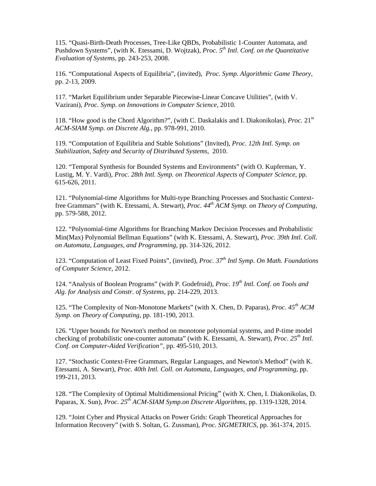115. "Quasi-Birth-Death Processes, Tree-Like QBDs, Probabilistic 1-Counter Automata, and Pushdown Systems", (with K. Etessami, D. Wojtzak), *Proc. 5th Intl. Conf. on the Quantitative Evaluation of Systems,* pp. 243-253, 2008.

116. "Computational Aspects of Equilibria", (invited), *Proc. Symp. Algorithmic Game Theory,*  pp. 2-13, 2009.

117. "Market Equilibrium under Separable Piecewise-Linear Concave Utilities", (with V. Vazirani), *Proc. Symp. on Innovations in Computer Science,* 2010.

118. "How good is the Chord Algorithm?", (with C. Daskalakis and I. Diakonikolas), *Proc.* 21st *ACM-SIAM Symp. on Discrete Alg.,* pp. 978-991, 2010.

119. "Computation of Equilibria and Stable Solutions" (Invited), *Proc. 12th Intl. Symp. on Stabilization, Safety and Security of Distributed Systems*, 2010.

120. "Temporal Synthesis for Bounded Systems and Environments" (with O. Kupferman, Y. Lustig, M. Y. Vardi), *Proc. 28th Intl. Symp. on Theoretical Aspects of Computer Science*, pp. 615-626, 2011.

121. "Polynomial-time Algorithms for Multi-type Branching Processes and Stochastic Contextfree Grammars" (with K. Etessami, A. Stewart), *Proc. 44th ACM Symp. on Theory of Computing,*  pp. 579-588, 2012.

122. "Polynomial-time Algorithms for Branching Markov Decision Processes and Probabilistic Min(Max) Polynomial Bellman Equations" (with K. Etessami, A. Stewart), *Proc. 39th Intl. Coll. on Automata, Languages, and Programming,* pp. 314-326, 2012.

123. "Computation of Least Fixed Points", (invited), *Proc. 37th Intl Symp. On Math. Foundations of Computer Science,* 2012.

124. "Analysis of Boolean Programs" (with P. Godefroid), *Proc. 19<sup>th</sup> Intl. Conf. on Tools and Alg. for Analysis and Constr. of Systems,* pp. 214-229, 2013.

125. "The Complexity of Non-Monotone Markets" (with X. Chen, D. Paparas), *Proc. 45th ACM Symp. on Theory of Computing*, pp. 181-190, 2013.

126. "Upper bounds for Newton's method on monotone polynomial systems, and P-time model checking of probabilistic one-counter automata" (with K. Etessami, A. Stewart), *Proc. 25th Intl. Conf. on Computer-Aided Verification",* pp. 495-510, 2013.

127. "Stochastic Context-Free Grammars, Regular Languages, and Newton's Method" (with K. Etessami, A. Stewart), *Proc. 40th Intl. Coll. on Automata, Languages, and Programming,* pp. 199-211, 2013.

128. "The Complexity of Optimal Multidimensional Pricing" (with X. Chen, I. Diakonikolas, D. Paparas, X. Sun), *Proc. 25th ACM-SIAM Symp.on Discrete Algorithms,* pp. 1319-1328, 2014.

129. "Joint Cyber and Physical Attacks on Power Grids: Graph Theoretical Approaches for Information Recovery" (with S. Soltan, G. Zussman), *Proc. SIGMETRICS,* pp. 361-374, 2015.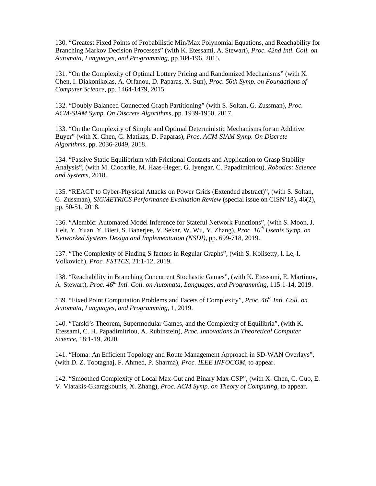130. "Greatest Fixed Points of Probabilistic Min/Max Polynomial Equations, and Reachability for Branching Markov Decision Processes" (with K. Etessami, A. Stewart), *Proc. 42nd Intl. Coll. on Automata, Languages, and Programming,* pp.184-196, 2015.

131. "On the Complexity of Optimal Lottery Pricing and Randomized Mechanisms" (with X. Chen, I. Diakonikolas, A. Orfanou, D. Paparas, X. Sun), *Proc. 56th Symp. on Foundations of Computer Science*, pp. 1464-1479, 2015.

132. "Doubly Balanced Connected Graph Partitioning" (with S. Soltan, G. Zussman), *Proc. ACM-SIAM Symp. On Discrete Algorithms,* pp. 1939-1950, 2017.

133. "On the Complexity of Simple and Optimal Deterministic Mechanisms for an Additive Buyer" (with X. Chen, G. Matikas, D. Paparas), *Proc. ACM-SIAM Symp. On Discrete Algorithms,* pp. 2036-2049, 2018.

134. "Passive Static Equilibrium with Frictional Contacts and Application to Grasp Stability Analysis", (with M. Ciocarlie, M. Haas-Heger, G. Iyengar, C. Papadimitriou), *Robotics: Science and Systems,* 2018.

135. "REACT to Cyber-Physical Attacks on Power Grids (Extended abstract)", (with S. Soltan, G. Zussman), *SIGMETRICS Performance Evaluation Review* (special issue on CISN'18), 46(2), pp. 50-51, 2018.

136. "Alembic: Automated Model Inference for Stateful Network Functions", (with S. Moon, J. Helt, Y. Yuan, Y. Bieri, S. Banerjee, V. Sekar, W. Wu, Y. Zhang), *Proc. 16th Usenix Symp. on Networked Systems Design and Implementation (NSDI),* pp. 699-718, 2019.

137. "The Complexity of Finding S-factors in Regular Graphs", (with S. Kolisetty, l. Le, I. Volkovich), *Proc. FSTTCS,* 21:1-12, 2019.

138. "Reachability in Branching Concurrent Stochastic Games", (with K. Etessami, E. Martinov, A. Stewart), *Proc. 46th Intl. Coll. on Automata, Languages, and Programming,* 115:1-14, 2019.

139. "Fixed Point Computation Problems and Facets of Complexity", *Proc. 46th Intl. Coll. on Automata, Languages, and Programming,* 1, 2019.

140. "Tarski's Theorem, Supermodular Games, and the Complexity of Equilibria", (with K. Etessami, C. H. Papadimitriou, A. Rubinstein), *Proc. Innovations in Theoretical Computer Science*, 18:1-19, 2020.

141. "Homa: An Efficient Topology and Route Management Approach in SD-WAN Overlays", (with D. Z. Tootaghaj, F. Ahmed, P. Sharma), *Proc. IEEE INFOCOM,* to appear.

142. "Smoothed Complexity of Local Max-Cut and Binary Max-CSP", (with X. Chen, C. Guo, E. V. Vlatakis-Gkaragkounis, X. Zhang), *Proc. ACM Symp. on Theory of Computing,* to appear.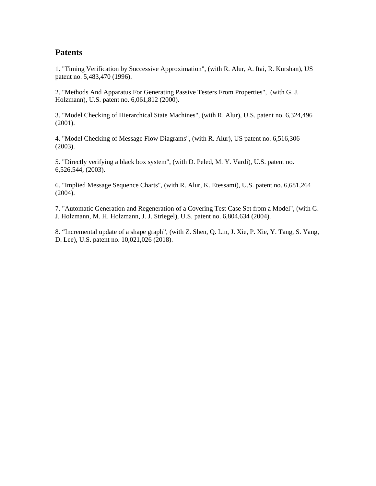# **Patents**

1. "Timing Verification by Successive Approximation", (with R. Alur, A. Itai, R. Kurshan), US patent no. 5,483,470 (1996).

2. "Methods And Apparatus For Generating Passive Testers From Properties", (with G. J. Holzmann), U.S. patent no. 6,061,812 (2000).

3. "Model Checking of Hierarchical State Machines", (with R. Alur), U.S. patent no. 6,324,496 (2001).

4. "Model Checking of Message Flow Diagrams", (with R. Alur), US patent no. 6,516,306 (2003).

5. "Directly verifying a black box system", (with D. Peled, M. Y. Vardi), U.S. patent no. 6,526,544, (2003).

6. "Implied Message Sequence Charts", (with R. Alur, K. Etessami), U.S. patent no. 6,681,264 (2004).

7. "Automatic Generation and Regeneration of a Covering Test Case Set from a Model", (with G. J. Holzmann, M. H. Holzmann, J. J. Striegel), U.S. patent no. 6,804,634 (2004).

8. "Incremental update of a shape graph", (with Z. Shen, Q. Lin, J. Xie, P. Xie, Y. Tang, S. Yang, D. Lee), U.S. patent no. 10,021,026 (2018).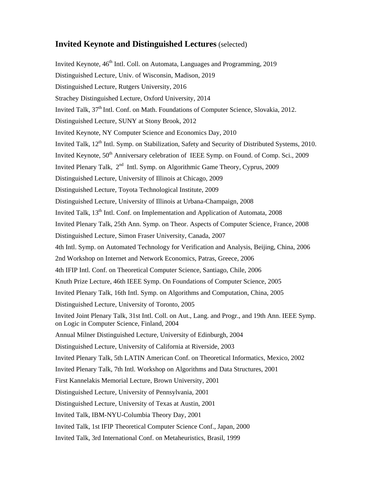# **Invited Keynote and Distinguished Lectures** (selected)

Invited Keynote,  $46<sup>th</sup>$  Intl. Coll. on Automata, Languages and Programming, 2019 Distinguished Lecture, Univ. of Wisconsin, Madison, 2019 Distinguished Lecture, Rutgers University, 2016 Strachey Distinguished Lecture, Oxford University, 2014 Invited Talk,  $37<sup>th</sup>$  Intl. Conf. on Math. Foundations of Computer Science, Slovakia, 2012. Distinguished Lecture, SUNY at Stony Brook, 2012 Invited Keynote, NY Computer Science and Economics Day, 2010 Invited Talk, 12<sup>th</sup> Intl. Symp. on Stabilization, Safety and Security of Distributed Systems, 2010. Invited Keynote,  $50<sup>th</sup>$  Anniversary celebration of IEEE Symp. on Found. of Comp. Sci., 2009 Invited Plenary Talk, 2<sup>nd</sup> Intl. Symp. on Algorithmic Game Theory, Cyprus, 2009 Distinguished Lecture, University of Illinois at Chicago, 2009 Distinguished Lecture, Toyota Technological Institute, 2009 Distinguished Lecture, University of Illinois at Urbana-Champaign, 2008 Invited Talk, 13<sup>th</sup> Intl. Conf. on Implementation and Application of Automata, 2008 Invited Plenary Talk, 25th Ann. Symp. on Theor. Aspects of Computer Science, France, 2008 Distinguished Lecture, Simon Fraser University, Canada, 2007 4th Intl. Symp. on Automated Technology for Verification and Analysis, Beijing, China, 2006 2nd Workshop on Internet and Network Economics, Patras, Greece, 2006 4th IFIP Intl. Conf. on Theoretical Computer Science, Santiago, Chile, 2006 Knuth Prize Lecture, 46th IEEE Symp. On Foundations of Computer Science, 2005 Invited Plenary Talk, 16th Intl. Symp. on Algorithms and Computation, China, 2005 Distinguished Lecture, University of Toronto, 2005 Invited Joint Plenary Talk, 31st Intl. Coll. on Aut., Lang. and Progr., and 19th Ann. IEEE Symp. on Logic in Computer Science, Finland, 2004 Annual Milner Distinguished Lecture, University of Edinburgh, 2004 Distinguished Lecture, University of California at Riverside, 2003 Invited Plenary Talk, 5th LATIN American Conf. on Theoretical Informatics, Mexico, 2002 Invited Plenary Talk, 7th Intl. Workshop on Algorithms and Data Structures, 2001 First Kannelakis Memorial Lecture, Brown University, 2001 Distinguished Lecture, University of Pennsylvania, 2001 Distinguished Lecture, University of Texas at Austin, 2001 Invited Talk, IBM-NYU-Columbia Theory Day, 2001 Invited Talk, 1st IFIP Theoretical Computer Science Conf., Japan, 2000 Invited Talk, 3rd International Conf. on Metaheuristics, Brasil, 1999